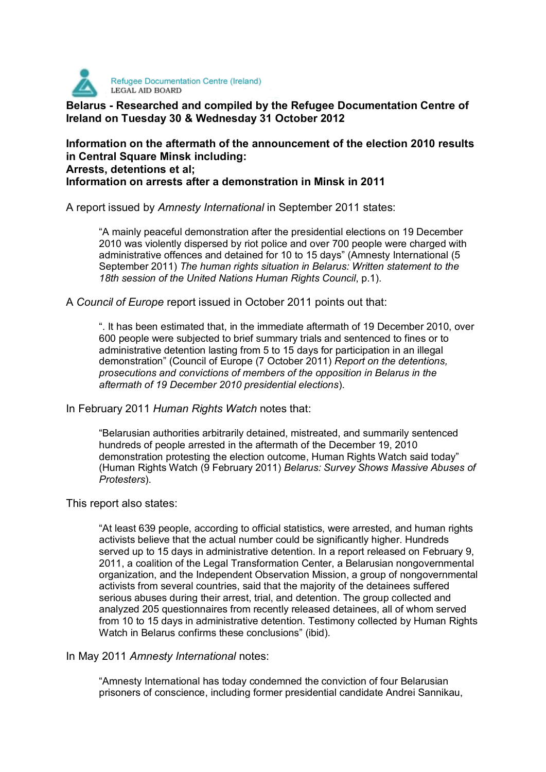

**Belarus - Researched and compiled by the Refugee Documentation Centre of Ireland on Tuesday 30 & Wednesday 31 October 2012** 

# **Information on the aftermath of the announcement of the election 2010 results in Central Square Minsk including: Arrests, detentions et al; Information on arrests after a demonstration in Minsk in 2011**

A report issued by *Amnesty International* in September 2011 states:

"A mainly peaceful demonstration after the presidential elections on 19 December 2010 was violently dispersed by riot police and over 700 people were charged with administrative offences and detained for 10 to 15 days" (Amnesty International (5 September 2011) *The human rights situation in Belarus: Written statement to the 18th session of the United Nations Human Rights Council*, p.1).

A *Council of Europe* report issued in October 2011 points out that:

". It has been estimated that, in the immediate aftermath of 19 December 2010, over 600 people were subjected to brief summary trials and sentenced to fines or to administrative detention lasting from 5 to 15 days for participation in an illegal demonstration" (Council of Europe (7 October 2011) *Report on the detentions, prosecutions and convictions of members of the opposition in Belarus in the aftermath of 19 December 2010 presidential elections*).

In February 2011 *Human Rights Watch* notes that:

"Belarusian authorities arbitrarily detained, mistreated, and summarily sentenced hundreds of people arrested in the aftermath of the December 19, 2010 demonstration protesting the election outcome, Human Rights Watch said today" (Human Rights Watch (9 February 2011) *Belarus: Survey Shows Massive Abuses of Protesters*).

This report also states:

"At least 639 people, according to official statistics, were arrested, and human rights activists believe that the actual number could be significantly higher. Hundreds served up to 15 days in administrative detention. In a report released on February 9, 2011, a coalition of the Legal Transformation Center, a Belarusian nongovernmental organization, and the Independent Observation Mission, a group of nongovernmental activists from several countries, said that the majority of the detainees suffered serious abuses during their arrest, trial, and detention. The group collected and analyzed 205 questionnaires from recently released detainees, all of whom served from 10 to 15 days in administrative detention. Testimony collected by Human Rights Watch in Belarus confirms these conclusions" (ibid).

In May 2011 *Amnesty International* notes:

"Amnesty International has today condemned the conviction of four Belarusian prisoners of conscience, including former presidential candidate Andrei Sannikau,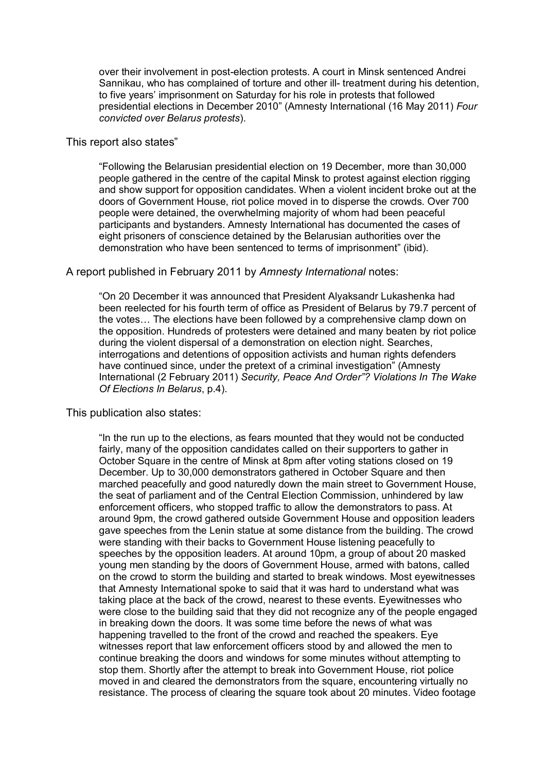over their involvement in post-election protests. A court in Minsk sentenced Andrei Sannikau, who has complained of torture and other ill- treatment during his detention, to five years' imprisonment on Saturday for his role in protests that followed presidential elections in December 2010" (Amnesty International (16 May 2011) *Four convicted over Belarus protests*).

#### This report also states"

"Following the Belarusian presidential election on 19 December, more than 30,000 people gathered in the centre of the capital Minsk to protest against election rigging and show support for opposition candidates. When a violent incident broke out at the doors of Government House, riot police moved in to disperse the crowds. Over 700 people were detained, the overwhelming majority of whom had been peaceful participants and bystanders. Amnesty International has documented the cases of eight prisoners of conscience detained by the Belarusian authorities over the demonstration who have been sentenced to terms of imprisonment" (ibid).

#### A report published in February 2011 by *Amnesty International* notes:

"On 20 December it was announced that President Alyaksandr Lukashenka had been reelected for his fourth term of office as President of Belarus by 79.7 percent of the votes… The elections have been followed by a comprehensive clamp down on the opposition. Hundreds of protesters were detained and many beaten by riot police during the violent dispersal of a demonstration on election night. Searches, interrogations and detentions of opposition activists and human rights defenders have continued since, under the pretext of a criminal investigation" (Amnesty International (2 February 2011) *Security, Peace And Order"? Violations In The Wake Of Elections In Belarus*, p.4).

#### This publication also states:

"In the run up to the elections, as fears mounted that they would not be conducted fairly, many of the opposition candidates called on their supporters to gather in October Square in the centre of Minsk at 8pm after voting stations closed on 19 December. Up to 30,000 demonstrators gathered in October Square and then marched peacefully and good naturedly down the main street to Government House, the seat of parliament and of the Central Election Commission, unhindered by law enforcement officers, who stopped traffic to allow the demonstrators to pass. At around 9pm, the crowd gathered outside Government House and opposition leaders gave speeches from the Lenin statue at some distance from the building. The crowd were standing with their backs to Government House listening peacefully to speeches by the opposition leaders. At around 10pm, a group of about 20 masked young men standing by the doors of Government House, armed with batons, called on the crowd to storm the building and started to break windows. Most eyewitnesses that Amnesty International spoke to said that it was hard to understand what was taking place at the back of the crowd, nearest to these events. Eyewitnesses who were close to the building said that they did not recognize any of the people engaged in breaking down the doors. It was some time before the news of what was happening travelled to the front of the crowd and reached the speakers. Eye witnesses report that law enforcement officers stood by and allowed the men to continue breaking the doors and windows for some minutes without attempting to stop them. Shortly after the attempt to break into Government House, riot police moved in and cleared the demonstrators from the square, encountering virtually no resistance. The process of clearing the square took about 20 minutes. Video footage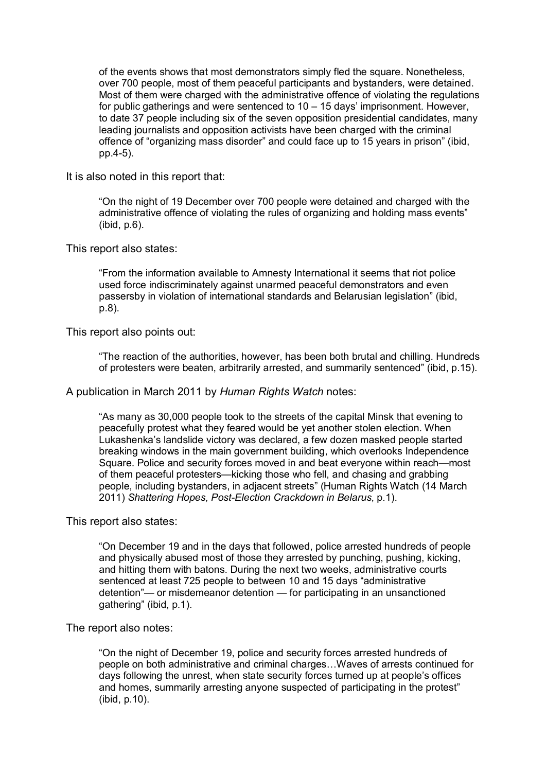of the events shows that most demonstrators simply fled the square. Nonetheless, over 700 people, most of them peaceful participants and bystanders, were detained. Most of them were charged with the administrative offence of violating the regulations for public gatherings and were sentenced to 10 – 15 days' imprisonment. However, to date 37 people including six of the seven opposition presidential candidates, many leading journalists and opposition activists have been charged with the criminal offence of "organizing mass disorder" and could face up to 15 years in prison" (ibid, pp.4-5).

It is also noted in this report that:

"On the night of 19 December over 700 people were detained and charged with the administrative offence of violating the rules of organizing and holding mass events" (ibid, p.6).

This report also states:

"From the information available to Amnesty International it seems that riot police used force indiscriminately against unarmed peaceful demonstrators and even passersby in violation of international standards and Belarusian legislation" (ibid, p.8).

This report also points out:

"The reaction of the authorities, however, has been both brutal and chilling. Hundreds of protesters were beaten, arbitrarily arrested, and summarily sentenced" (ibid, p.15).

A publication in March 2011 by *Human Rights Watch* notes:

"As many as 30,000 people took to the streets of the capital Minsk that evening to peacefully protest what they feared would be yet another stolen election. When Lukashenka's landslide victory was declared, a few dozen masked people started breaking windows in the main government building, which overlooks Independence Square. Police and security forces moved in and beat everyone within reach—most of them peaceful protesters—kicking those who fell, and chasing and grabbing people, including bystanders, in adjacent streets" (Human Rights Watch (14 March 2011) *Shattering Hopes, Post-Election Crackdown in Belarus*, p.1).

This report also states:

"On December 19 and in the days that followed, police arrested hundreds of people and physically abused most of those they arrested by punching, pushing, kicking, and hitting them with batons. During the next two weeks, administrative courts sentenced at least 725 people to between 10 and 15 days "administrative detention"— or misdemeanor detention — for participating in an unsanctioned gathering" (ibid, p.1).

The report also notes:

"On the night of December 19, police and security forces arrested hundreds of people on both administrative and criminal charges…Waves of arrests continued for days following the unrest, when state security forces turned up at people's offices and homes, summarily arresting anyone suspected of participating in the protest" (ibid, p.10).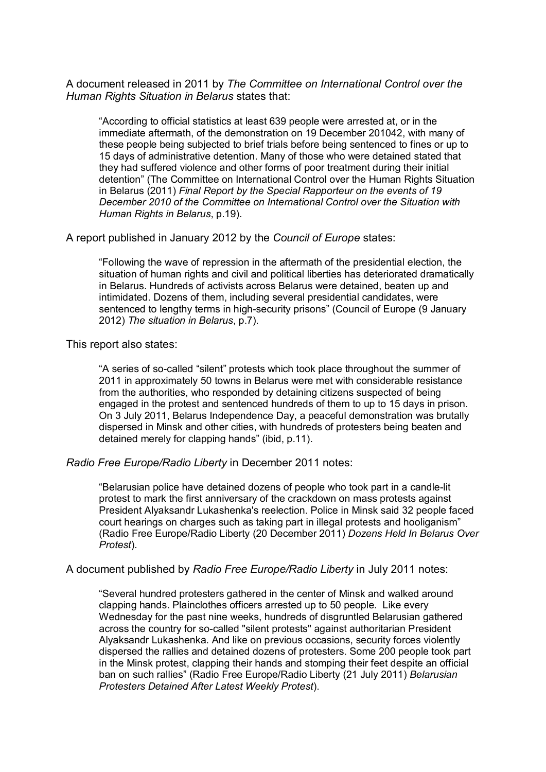A document released in 2011 by *The Committee on International Control over the Human Rights Situation in Belarus* states that:

"According to official statistics at least 639 people were arrested at, or in the immediate aftermath, of the demonstration on 19 December 201042, with many of these people being subjected to brief trials before being sentenced to fines or up to 15 days of administrative detention. Many of those who were detained stated that they had suffered violence and other forms of poor treatment during their initial detention" (The Committee on International Control over the Human Rights Situation in Belarus (2011) *Final Report by the Special Rapporteur on the events of 19 December 2010 of the Committee on International Control over the Situation with Human Rights in Belarus*, p.19).

A report published in January 2012 by the *Council of Europe* states:

"Following the wave of repression in the aftermath of the presidential election, the situation of human rights and civil and political liberties has deteriorated dramatically in Belarus. Hundreds of activists across Belarus were detained, beaten up and intimidated. Dozens of them, including several presidential candidates, were sentenced to lengthy terms in high-security prisons" (Council of Europe (9 January 2012) *The situation in Belarus*, p.7).

This report also states:

"A series of so-called "silent" protests which took place throughout the summer of 2011 in approximately 50 towns in Belarus were met with considerable resistance from the authorities, who responded by detaining citizens suspected of being engaged in the protest and sentenced hundreds of them to up to 15 days in prison. On 3 July 2011, Belarus Independence Day, a peaceful demonstration was brutally dispersed in Minsk and other cities, with hundreds of protesters being beaten and detained merely for clapping hands" (ibid, p.11).

*Radio Free Europe/Radio Liberty* in December 2011 notes:

"Belarusian police have detained dozens of people who took part in a candle-lit protest to mark the first anniversary of the crackdown on mass protests against President Alyaksandr Lukashenka's reelection. Police in Minsk said 32 people faced court hearings on charges such as taking part in illegal protests and hooliganism" (Radio Free Europe/Radio Liberty (20 December 2011) *Dozens Held In Belarus Over Protest*).

A document published by *Radio Free Europe/Radio Liberty* in July 2011 notes:

"Several hundred protesters gathered in the center of Minsk and walked around clapping hands. Plainclothes officers arrested up to 50 people. Like every Wednesday for the past nine weeks, hundreds of disgruntled Belarusian gathered across the country for so-called "silent protests" against authoritarian President Alyaksandr Lukashenka. And like on previous occasions, security forces violently dispersed the rallies and detained dozens of protesters. Some 200 people took part in the Minsk protest, clapping their hands and stomping their feet despite an official ban on such rallies" (Radio Free Europe/Radio Liberty (21 July 2011) *Belarusian Protesters Detained After Latest Weekly Protest*).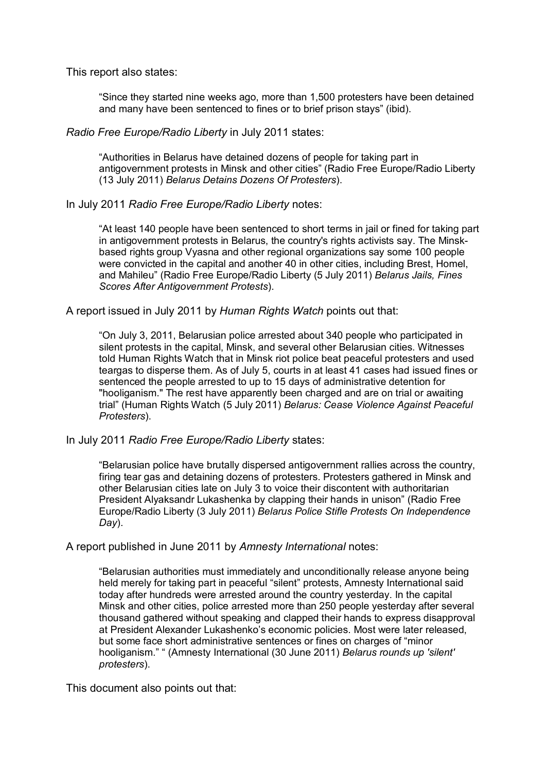This report also states:

"Since they started nine weeks ago, more than 1,500 protesters have been detained and many have been sentenced to fines or to brief prison stays" (ibid).

## *Radio Free Europe/Radio Liberty* in July 2011 states:

"Authorities in Belarus have detained dozens of people for taking part in antigovernment protests in Minsk and other cities" (Radio Free Europe/Radio Liberty (13 July 2011) *Belarus Detains Dozens Of Protesters*).

## In July 2011 *Radio Free Europe/Radio Liberty* notes:

"At least 140 people have been sentenced to short terms in jail or fined for taking part in antigovernment protests in Belarus, the country's rights activists say. The Minskbased rights group Vyasna and other regional organizations say some 100 people were convicted in the capital and another 40 in other cities, including Brest, Homel, and Mahileu" (Radio Free Europe/Radio Liberty (5 July 2011) *Belarus Jails, Fines Scores After Antigovernment Protests*).

A report issued in July 2011 by *Human Rights Watch* points out that:

"On July 3, 2011, Belarusian police arrested about 340 people who participated in silent protests in the capital, Minsk, and several other Belarusian cities. Witnesses told Human Rights Watch that in Minsk riot police beat peaceful protesters and used teargas to disperse them. As of July 5, courts in at least 41 cases had issued fines or sentenced the people arrested to up to 15 days of administrative detention for "hooliganism." The rest have apparently been charged and are on trial or awaiting trial" (Human Rights Watch (5 July 2011) *Belarus: Cease Violence Against Peaceful Protesters*).

### In July 2011 *Radio Free Europe/Radio Liberty* states:

"Belarusian police have brutally dispersed antigovernment rallies across the country, firing tear gas and detaining dozens of protesters. Protesters gathered in Minsk and other Belarusian cities late on July 3 to voice their discontent with authoritarian President Alyaksandr Lukashenka by clapping their hands in unison" (Radio Free Europe/Radio Liberty (3 July 2011) *Belarus Police Stifle Protests On Independence Day*).

A report published in June 2011 by *Amnesty International* notes:

"Belarusian authorities must immediately and unconditionally release anyone being held merely for taking part in peaceful "silent" protests, Amnesty International said today after hundreds were arrested around the country yesterday. In the capital Minsk and other cities, police arrested more than 250 people yesterday after several thousand gathered without speaking and clapped their hands to express disapproval at President Alexander Lukashenko's economic policies. Most were later released, but some face short administrative sentences or fines on charges of "minor hooliganism." " (Amnesty International (30 June 2011) *Belarus rounds up 'silent' protesters*).

This document also points out that: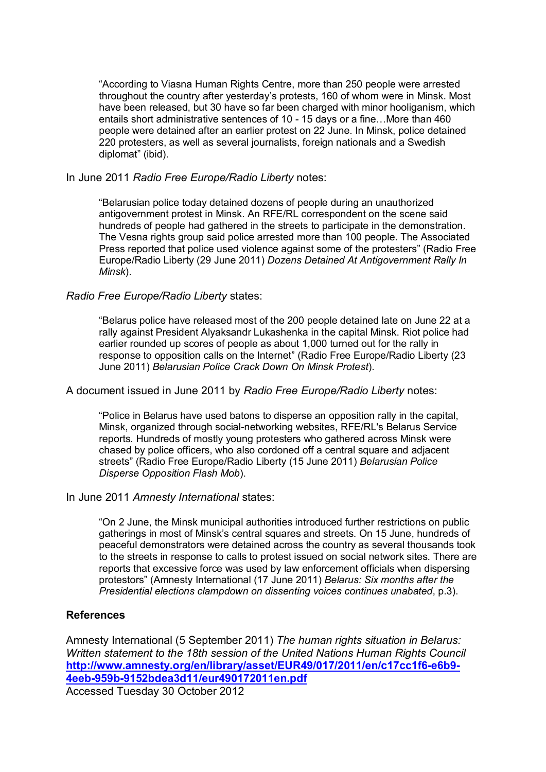"According to Viasna Human Rights Centre, more than 250 people were arrested throughout the country after yesterday's protests, 160 of whom were in Minsk. Most have been released, but 30 have so far been charged with minor hooliganism, which entails short administrative sentences of 10 - 15 days or a fine…More than 460 people were detained after an earlier protest on 22 June. In Minsk, police detained 220 protesters, as well as several journalists, foreign nationals and a Swedish diplomat" (ibid).

In June 2011 *Radio Free Europe/Radio Liberty* notes:

"Belarusian police today detained dozens of people during an unauthorized antigovernment protest in Minsk. An RFE/RL correspondent on the scene said hundreds of people had gathered in the streets to participate in the demonstration. The Vesna rights group said police arrested more than 100 people. The Associated Press reported that police used violence against some of the protesters" (Radio Free Europe/Radio Liberty (29 June 2011) *Dozens Detained At Antigovernment Rally In Minsk*).

# *Radio Free Europe/Radio Liberty* states:

"Belarus police have released most of the 200 people detained late on June 22 at a rally against President Alyaksandr Lukashenka in the capital Minsk. Riot police had earlier rounded up scores of people as about 1,000 turned out for the rally in response to opposition calls on the Internet" (Radio Free Europe/Radio Liberty (23 June 2011) *Belarusian Police Crack Down On Minsk Protest*).

A document issued in June 2011 by *Radio Free Europe/Radio Liberty* notes:

"Police in Belarus have used batons to disperse an opposition rally in the capital, Minsk, organized through social-networking websites, RFE/RL's Belarus Service reports. Hundreds of mostly young protesters who gathered across Minsk were chased by police officers, who also cordoned off a central square and adjacent streets" (Radio Free Europe/Radio Liberty (15 June 2011) *Belarusian Police Disperse Opposition Flash Mob*).

## In June 2011 *Amnesty International* states:

"On 2 June, the Minsk municipal authorities introduced further restrictions on public gatherings in most of Minsk's central squares and streets. On 15 June, hundreds of peaceful demonstrators were detained across the country as several thousands took to the streets in response to calls to protest issued on social network sites. There are reports that excessive force was used by law enforcement officials when dispersing protestors" (Amnesty International (17 June 2011) *Belarus: Six months after the Presidential elections clampdown on dissenting voices continues unabated*, p.3).

# **References**

Amnesty International (5 September 2011) *The human rights situation in Belarus: Written statement to the 18th session of the United Nations Human Rights Council*  **http://www.amnesty.org/en/library/asset/EUR49/017/2011/en/c17cc1f6-e6b9- 4eeb-959b-9152bdea3d11/eur490172011en.pdf** Accessed Tuesday 30 October 2012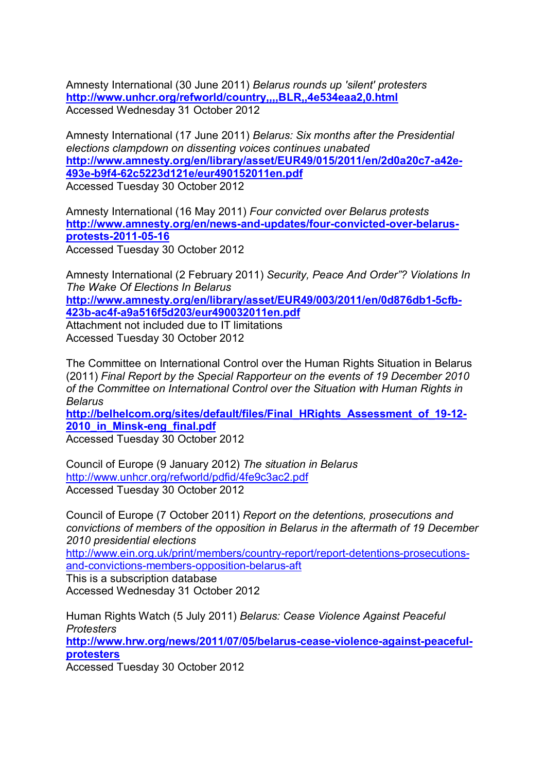Amnesty International (30 June 2011) *Belarus rounds up 'silent' protesters*  **http://www.unhcr.org/refworld/country,,,,BLR,,4e534eaa2,0.html** Accessed Wednesday 31 October 2012

Amnesty International (17 June 2011) *Belarus: Six months after the Presidential elections clampdown on dissenting voices continues unabated*  **http://www.amnesty.org/en/library/asset/EUR49/015/2011/en/2d0a20c7-a42e-493e-b9f4-62c5223d121e/eur490152011en.pdf** Accessed Tuesday 30 October 2012

Amnesty International (16 May 2011) *Four convicted over Belarus protests*  **http://www.amnesty.org/en/news-and-updates/four-convicted-over-belarusprotests-2011-05-16** Accessed Tuesday 30 October 2012

Amnesty International (2 February 2011) *Security, Peace And Order"? Violations In The Wake Of Elections In Belarus* 

**http://www.amnesty.org/en/library/asset/EUR49/003/2011/en/0d876db1-5cfb-423b-ac4f-a9a516f5d203/eur490032011en.pdf**

Attachment not included due to IT limitations Accessed Tuesday 30 October 2012

The Committee on International Control over the Human Rights Situation in Belarus (2011) *Final Report by the Special Rapporteur on the events of 19 December 2010 of the Committee on International Control over the Situation with Human Rights in Belarus* 

**http://belhelcom.org/sites/default/files/Final\_HRights\_Assessment\_of\_19-12- 2010\_in\_Minsk-eng\_final.pdf**

Accessed Tuesday 30 October 2012

Council of Europe (9 January 2012) *The situation in Belarus* http://www.unhcr.org/refworld/pdfid/4fe9c3ac2.pdf Accessed Tuesday 30 October 2012

Council of Europe (7 October 2011) *Report on the detentions, prosecutions and convictions of members of the opposition in Belarus in the aftermath of 19 December 2010 presidential elections* 

http://www.ein.org.uk/print/members/country-report/report-detentions-prosecutionsand-convictions-members-opposition-belarus-aft

This is a subscription database

Accessed Wednesday 31 October 2012

Human Rights Watch (5 July 2011) *Belarus: Cease Violence Against Peaceful Protesters*  **http://www.hrw.org/news/2011/07/05/belarus-cease-violence-against-peacefulprotesters** Accessed Tuesday 30 October 2012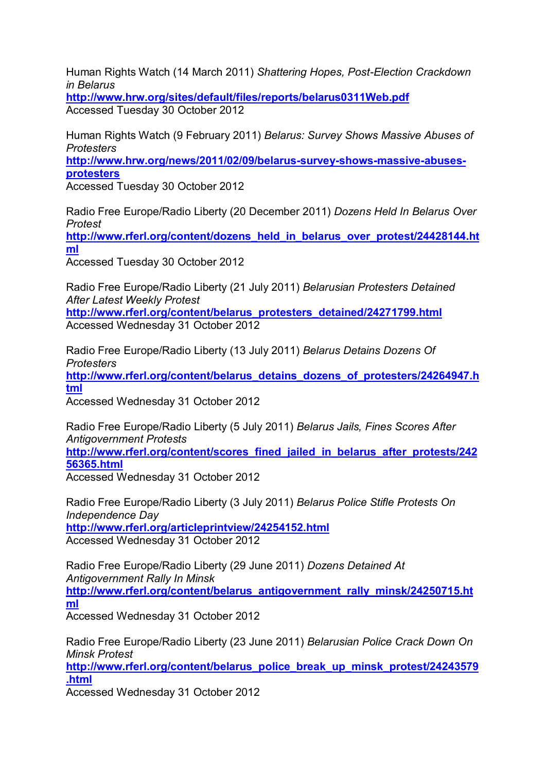Human Rights Watch (14 March 2011) *Shattering Hopes, Post-Election Crackdown in Belarus* 

**http://www.hrw.org/sites/default/files/reports/belarus0311Web.pdf** Accessed Tuesday 30 October 2012

Human Rights Watch (9 February 2011) *Belarus: Survey Shows Massive Abuses of Protesters* 

**http://www.hrw.org/news/2011/02/09/belarus-survey-shows-massive-abusesprotesters**

Accessed Tuesday 30 October 2012

Radio Free Europe/Radio Liberty (20 December 2011) *Dozens Held In Belarus Over Protest* 

**http://www.rferl.org/content/dozens\_held\_in\_belarus\_over\_protest/24428144.ht ml**

Accessed Tuesday 30 October 2012

Radio Free Europe/Radio Liberty (21 July 2011) *Belarusian Protesters Detained After Latest Weekly Protest*  **http://www.rferl.org/content/belarus\_protesters\_detained/24271799.html**

Accessed Wednesday 31 October 2012

Radio Free Europe/Radio Liberty (13 July 2011) *Belarus Detains Dozens Of Protesters*  **http://www.rferl.org/content/belarus\_detains\_dozens\_of\_protesters/24264947.h tml**

Accessed Wednesday 31 October 2012

Radio Free Europe/Radio Liberty (5 July 2011) *Belarus Jails, Fines Scores After Antigovernment Protests*  **http://www.rferl.org/content/scores\_fined\_jailed\_in\_belarus\_after\_protests/242 56365.html**

Accessed Wednesday 31 October 2012

Radio Free Europe/Radio Liberty (3 July 2011) *Belarus Police Stifle Protests On Independence Day*  **http://www.rferl.org/articleprintview/24254152.html** Accessed Wednesday 31 October 2012

Radio Free Europe/Radio Liberty (29 June 2011) *Dozens Detained At Antigovernment Rally In Minsk*  **http://www.rferl.org/content/belarus\_antigovernment\_rally\_minsk/24250715.ht ml**

Accessed Wednesday 31 October 2012

Radio Free Europe/Radio Liberty (23 June 2011) *Belarusian Police Crack Down On Minsk Protest* 

**http://www.rferl.org/content/belarus\_police\_break\_up\_minsk\_protest/24243579 .html**

Accessed Wednesday 31 October 2012